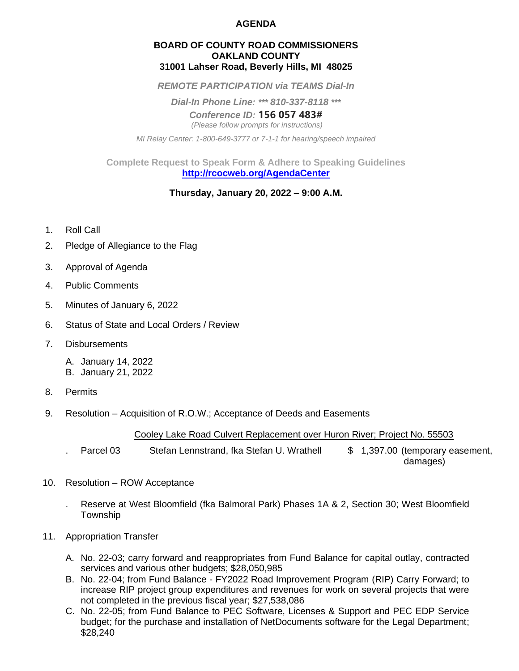## **AGENDA**

#### **BOARD OF COUNTY ROAD COMMISSIONERS OAKLAND COUNTY 31001 Lahser Road, Beverly Hills, MI 48025**

*REMOTE PARTICIPATION via TEAMS Dial-In*

*Dial-In Phone Line: \*\*\* 810-337-8118 \*\*\**

*Conference ID:* **156 057 483#**  *(Please follow prompts for instructions)*

*MI Relay Center: 1-800-649-3777 or 7-1-1 for hearing/speech impaired*

**Complete Request to Speak Form & Adhere to Speaking Guidelines <http://rcocweb.org/AgendaCenter>**

## **Thursday, January 20, 2022 – 9:00 A.M.**

- 1. Roll Call
- 2. Pledge of Allegiance to the Flag
- 3. Approval of Agenda
- 4. Public Comments
- 5. Minutes of January 6, 2022
- 6. Status of State and Local Orders / Review
- 7. Disbursements
	- A. January 14, 2022
	- B. January 21, 2022
- 8. Permits
- 9. Resolution Acquisition of R.O.W.; Acceptance of Deeds and Easements

#### Cooley Lake Road Culvert Replacement over Huron River; Project No. 55503

Parcel 03 Stefan Lennstrand, fka Stefan U. Wrathell  $$ 1,397.00$  (temporary easement, damages)

- 10. Resolution ROW Acceptance
	- . Reserve at West Bloomfield (fka Balmoral Park) Phases 1A & 2, Section 30; West Bloomfield Township
- 11. Appropriation Transfer
	- A. No. 22-03; carry forward and reappropriates from Fund Balance for capital outlay, contracted services and various other budgets; \$28,050,985
	- B. No. 22-04; from Fund Balance FY2022 Road Improvement Program (RIP) Carry Forward; to increase RIP project group expenditures and revenues for work on several projects that were not completed in the previous fiscal year; \$27,538,086
	- C. No. 22-05; from Fund Balance to PEC Software, Licenses & Support and PEC EDP Service budget; for the purchase and installation of NetDocuments software for the Legal Department; \$28,240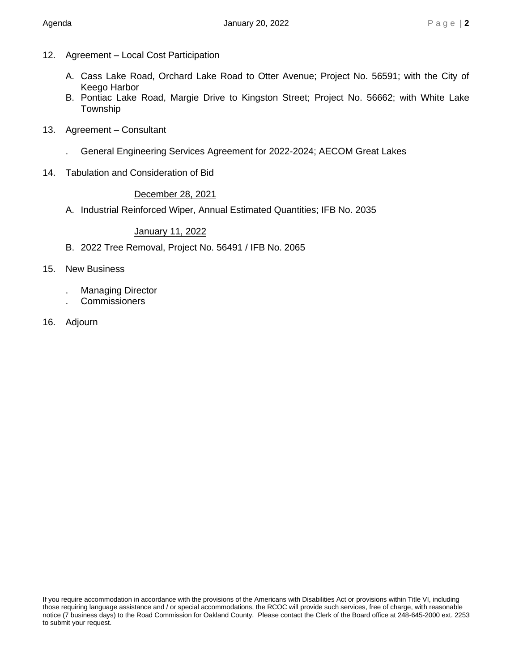- 12. Agreement Local Cost Participation
	- A. Cass Lake Road, Orchard Lake Road to Otter Avenue; Project No. 56591; with the City of Keego Harbor
	- B. Pontiac Lake Road, Margie Drive to Kingston Street; Project No. 56662; with White Lake Township
- 13. Agreement Consultant
	- . General Engineering Services Agreement for 2022-2024; AECOM Great Lakes
- 14. Tabulation and Consideration of Bid

## December 28, 2021

A. Industrial Reinforced Wiper, Annual Estimated Quantities; IFB No. 2035

# January 11, 2022

- B. 2022 Tree Removal, Project No. 56491 / IFB No. 2065
- 15. New Business
	- . Managing Director
	- . Commissioners
- 16. Adjourn

If you require accommodation in accordance with the provisions of the Americans with Disabilities Act or provisions within Title VI, including those requiring language assistance and / or special accommodations, the RCOC will provide such services, free of charge, with reasonable notice (7 business days) to the Road Commission for Oakland County. Please contact the Clerk of the Board office at 248-645-2000 ext. 2253 to submit your request.